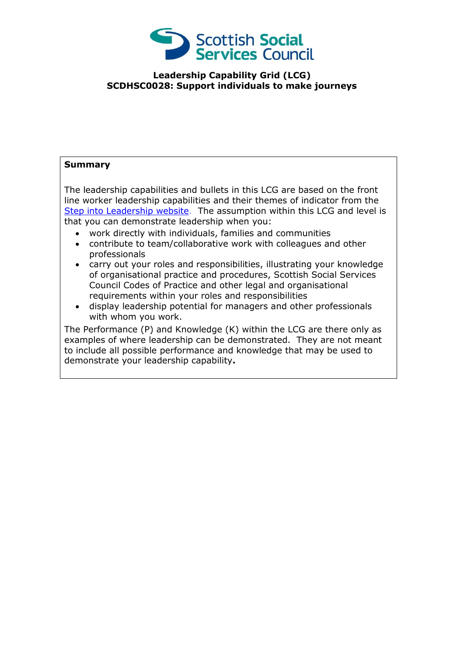

## **Leadership Capability Grid (LCG) SCDHSC0028: Support individuals to make journeys**

## **Summary**

The leadership capabilities and bullets in this LCG are based on the front line worker leadership capabilities and their themes of indicator from the [Step into Leadership website.](http://www.stepintoleadership.info/) The assumption within this LCG and level is that you can demonstrate leadership when you:

- work directly with individuals, families and communities
- contribute to team/collaborative work with colleagues and other professionals
- carry out your roles and responsibilities, illustrating your knowledge of organisational practice and procedures, Scottish Social Services Council Codes of Practice and other legal and organisational requirements within your roles and responsibilities
- display leadership potential for managers and other professionals with whom you work.

The Performance (P) and Knowledge (K) within the LCG are there only as examples of where leadership can be demonstrated. They are not meant to include all possible performance and knowledge that may be used to demonstrate your leadership capability**.**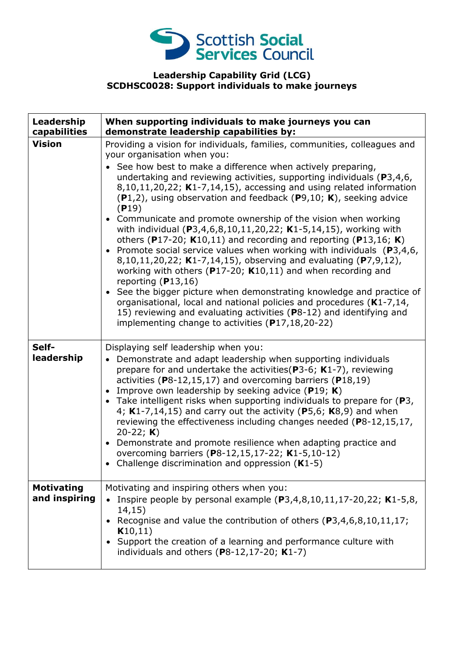

## **Leadership Capability Grid (LCG) SCDHSC0028: Support individuals to make journeys**

| Leadership<br>capabilities         | When supporting individuals to make journeys you can<br>demonstrate leadership capabilities by:                                                                                                                                                                                                                                                                                                                                                                                                                                                                                                                                                                                                                                                                                                                                                                                                                                                                                                                                                                                                                                                                |
|------------------------------------|----------------------------------------------------------------------------------------------------------------------------------------------------------------------------------------------------------------------------------------------------------------------------------------------------------------------------------------------------------------------------------------------------------------------------------------------------------------------------------------------------------------------------------------------------------------------------------------------------------------------------------------------------------------------------------------------------------------------------------------------------------------------------------------------------------------------------------------------------------------------------------------------------------------------------------------------------------------------------------------------------------------------------------------------------------------------------------------------------------------------------------------------------------------|
| <b>Vision</b>                      | Providing a vision for individuals, families, communities, colleagues and<br>your organisation when you:<br>See how best to make a difference when actively preparing,<br>undertaking and reviewing activities, supporting individuals ( $P3,4,6$ ,<br>$8,10,11,20,22$ ; K1-7,14,15), accessing and using related information<br>$(P1,2)$ , using observation and feedback $(P9,10; K)$ , seeking advice<br>(P19)<br>• Communicate and promote ownership of the vision when working<br>with individual (P3,4,6,8,10,11,20,22; K1-5,14,15), working with<br>others (P17-20; $K10,11$ ) and recording and reporting (P13,16; K)<br>• Promote social service values when working with individuals $(P3, 4, 6, 6)$<br>8,10,11,20,22; K1-7,14,15), observing and evaluating (P7,9,12),<br>working with others ( $P17-20$ ; K10,11) and when recording and<br>reporting $(P13,16)$<br>• See the bigger picture when demonstrating knowledge and practice of<br>organisational, local and national policies and procedures (K1-7,14,<br>15) reviewing and evaluating activities (P8-12) and identifying and<br>implementing change to activities $(P17, 18, 20 - 22)$ |
| Self-<br>leadership                | Displaying self leadership when you:<br>Demonstrate and adapt leadership when supporting individuals<br>$\bullet$<br>prepare for and undertake the activities ( $P3-6$ ; K1-7), reviewing<br>activities ( $P8-12,15,17$ ) and overcoming barriers ( $P18,19$ )<br>Improve own leadership by seeking advice (P19; K)<br>• Take intelligent risks when supporting individuals to prepare for $(P3,$<br>4; $K1-7,14,15$ ) and carry out the activity (P5,6; $K8,9$ ) and when<br>reviewing the effectiveness including changes needed (P8-12,15,17,<br>20-22; $K$ )<br>Demonstrate and promote resilience when adapting practice and<br>overcoming barriers (P8-12,15,17-22; K1-5,10-12)<br>Challenge discrimination and oppression $(K1-5)$                                                                                                                                                                                                                                                                                                                                                                                                                      |
| <b>Motivating</b><br>and inspiring | Motivating and inspiring others when you:<br>Inspire people by personal example $(P3,4,8,10,11,17-20,22; K1-5,8,$<br>14,15)<br>• Recognise and value the contribution of others (P3,4,6,8,10,11,17;<br>K10,11)<br>Support the creation of a learning and performance culture with<br>individuals and others $(P8-12, 17-20; K1-7)$                                                                                                                                                                                                                                                                                                                                                                                                                                                                                                                                                                                                                                                                                                                                                                                                                             |